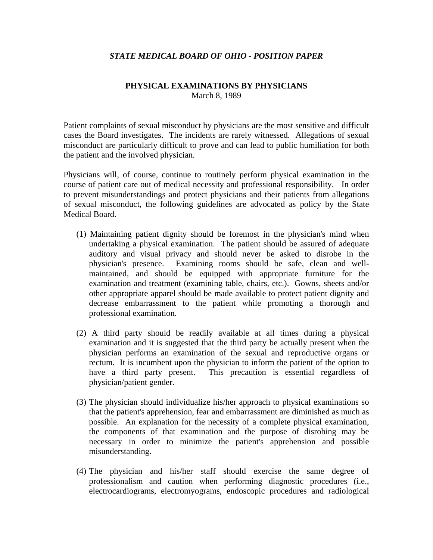## *STATE MEDICAL BOARD OF OHIO - POSITION PAPER*

## **PHYSICAL EXAMINATIONS BY PHYSICIANS**  March 8, 1989

Patient complaints of sexual misconduct by physicians are the most sensitive and difficult cases the Board investigates. The incidents are rarely witnessed. Allegations of sexual misconduct are particularly difficult to prove and can lead to public humiliation for both the patient and the involved physician.

Physicians will, of course, continue to routinely perform physical examination in the course of patient care out of medical necessity and professional responsibility. In order to prevent misunderstandings and protect physicians and their patients from allegations of sexual misconduct, the following guidelines are advocated as policy by the State Medical Board.

- (1) Maintaining patient dignity should be foremost in the physician's mind when undertaking a physical examination. The patient should be assured of adequate auditory and visual privacy and should never be asked to disrobe in the physician's presence. Examining rooms should be safe, clean and wellmaintained, and should be equipped with appropriate furniture for the examination and treatment (examining table, chairs, etc.). Gowns, sheets and/or other appropriate apparel should be made available to protect patient dignity and decrease embarrassment to the patient while promoting a thorough and professional examination.
- (2) A third party should be readily available at all times during a physical examination and it is suggested that the third party be actually present when the physician performs an examination of the sexual and reproductive organs or rectum. It is incumbent upon the physician to inform the patient of the option to have a third party present. This precaution is essential regardless of physician/patient gender.
- (3) The physician should individualize his/her approach to physical examinations so that the patient's apprehension, fear and embarrassment are diminished as much as possible. An explanation for the necessity of a complete physical examination, the components of that examination and the purpose of disrobing may be necessary in order to minimize the patient's apprehension and possible misunderstanding.
- (4) The physician and his/her staff should exercise the same degree of professionalism and caution when performing diagnostic procedures (i.e., electrocardiograms, electromyograms, endoscopic procedures and radiological